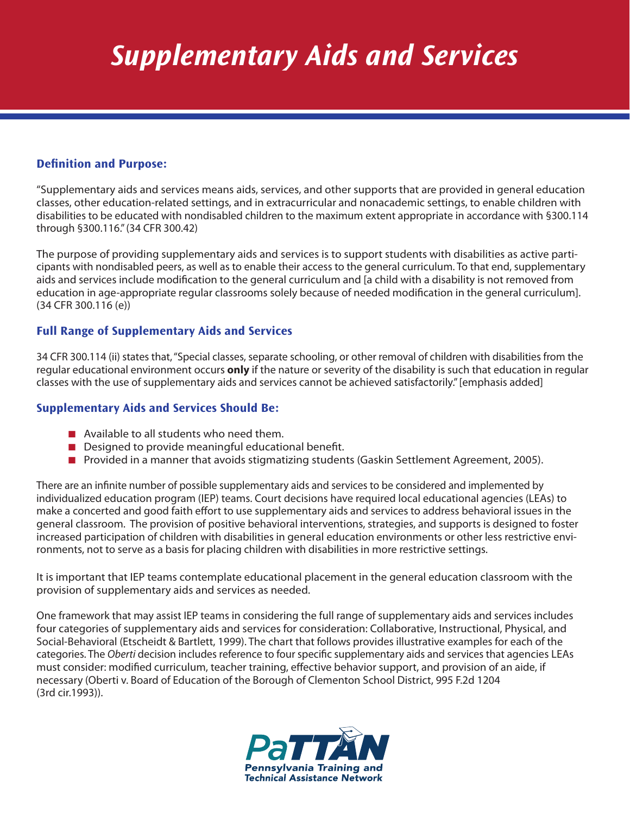# *Supplementary Aids and Services*

## **Definition and Purpose:**

"Supplementary aids and services means aids, services, and other supports that are provided in general education classes, other education-related settings, and in extracurricular and nonacademic settings, to enable children with disabilities to be educated with nondisabled children to the maximum extent appropriate in accordance with §300.114 through §300.116." (34 CFR 300.42)

The purpose of providing supplementary aids and services is to support students with disabilities as active participants with nondisabled peers, as well as to enable their access to the general curriculum. To that end, supplementary aids and services include modification to the general curriculum and [a child with a disability is not removed from education in age-appropriate regular classrooms solely because of needed modification in the general curriculum]. (34 CFR 300.116 (e))

### **Full Range of Supplementary Aids and Services**

34 CFR 300.114 (ii) states that, "Special classes, separate schooling, or other removal of children with disabilities from the regular educational environment occurs **only** if the nature or severity of the disability is such that education in regular classes with the use of supplementary aids and services cannot be achieved satisfactorily." [emphasis added]

#### **Supplementary Aids and Services Should Be:**

- $\blacksquare$  Available to all students who need them.
- $\blacksquare$  Designed to provide meaningful educational benefit.
- **n** Provided in a manner that avoids stigmatizing students (Gaskin Settlement Agreement, 2005).

There are an infinite number of possible supplementary aids and services to be considered and implemented by individualized education program (IEP) teams. Court decisions have required local educational agencies (LEAs) to make a concerted and good faith effort to use supplementary aids and services to address behavioral issues in the general classroom. The provision of positive behavioral interventions, strategies, and supports is designed to foster increased participation of children with disabilities in general education environments or other less restrictive environments, not to serve as a basis for placing children with disabilities in more restrictive settings.

It is important that IEP teams contemplate educational placement in the general education classroom with the provision of supplementary aids and services as needed.

One framework that may assist IEP teams in considering the full range of supplementary aids and services includes four categories of supplementary aids and services for consideration: Collaborative, Instructional, Physical, and Social-Behavioral (Etscheidt & Bartlett, 1999). The chart that follows provides illustrative examples for each of the categories. The *Oberti* decision includes reference to four specific supplementary aids and services that agencies LEAs must consider: modified curriculum, teacher training, effective behavior support, and provision of an aide, if necessary (Oberti v. Board of Education of the Borough of Clementon School District, 995 F.2d 1204 (3rd cir.1993)).